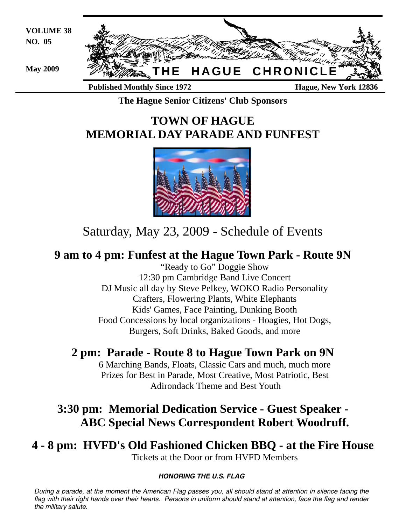

**The Hague Senior Citizens' Club Sponsors** 

# **TOWN OF HAGUE MEMORIAL DAY PARADE AND FUNFEST**



# Saturday, May 23, 2009 - Schedule of Events

# **9 am to 4 pm: Funfest at the Hague Town Park - Route 9N**

 "Ready to Go" Doggie Show 12:30 pm Cambridge Band Live Concert DJ Music all day by Steve Pelkey, WOKO Radio Personality Crafters, Flowering Plants, White Elephants Kids' Games, Face Painting, Dunking Booth Food Concessions by local organizations - Hoagies, Hot Dogs, Burgers, Soft Drinks, Baked Goods, and more

# **2 pm: Parade - Route 8 to Hague Town Park on 9N**

 6 Marching Bands, Floats, Classic Cars and much, much more Prizes for Best in Parade, Most Creative, Most Patriotic, Best Adirondack Theme and Best Youth

# **3:30 pm: Memorial Dedication Service - Guest Speaker - ABC Special News Correspondent Robert Woodruff.**

# **4 - 8 pm: HVFD's Old Fashioned Chicken BBQ - at the Fire House** Tickets at the Door or from HVFD Members

# *HONORING THE U.S. FLAG*

*During a parade, at the moment the American Flag passes you, all should stand at attention in silence facing the*  flag with their right hands over their hearts. Persons in uniform should stand at attention, face the flag and render *the military salute.*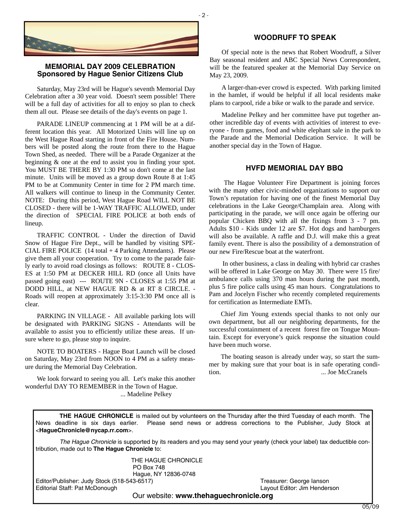

# **MEMORIAL DAY 2009 CELEBRATION Sponsored by Hague Senior Citizens Club**

Saturday, May 23rd will be Hague's seventh Memorial Day Celebration after a 30 year void. Doesn't seem possible! There will be a full day of activities for all to enjoy so plan to check them all out. Please see details of the day's events on page 1.

PARADE LINEUP commencing at 1 PM will be at a different location this year. All Motorized Units will line up on the West Hague Road starting in front of the Fire House. Numbers will be posted along the route from there to the Hague Town Shed, as needed. There will be a Parade Organizer at the beginning & one at the end to assist you in finding your spot. You MUST BE THERE BY 1:30 PM so don't come at the last minute. Units will be moved as a group down Route 8 at 1:45 PM to be at Community Center in time for 2 PM march time. All walkers will continue to lineup in the Community Center. NOTE: During this period, West Hague Road WILL NOT BE CLOSED - there will be 1-WAY TRAFFIC ALLOWED, under the direction of SPECIAL FIRE POLICE at both ends of lineup.

TRAFFIC CONTROL - Under the direction of David Snow of Hague Fire Dept., will be handled by visiting SPE-CIAL FIRE POLICE (14 total + 4 Parking Attendants). Please give them all your cooperation. Try to come to the parade fairly early to avoid road closings as follows: ROUTE 8 - CLOS-ES at 1:50 PM at DECKER HILL RD (once all Units have passed going east) --- ROUTE 9N - CLOSES at 1:55 PM at DODD HILL, at NEW HAGUE RD & at RT 8 CIRCLE. - Roads will reopen at approximately 3:15-3:30 PM once all is clear.

PARKING IN VILLAGE - All available parking lots will be designated with PARKING SIGNS - Attendants will be available to assist you to efficiently utilize these areas. If unsure where to go, please stop to inquire.

NOTE TO BOATERS - Hague Boat Launch will be closed on Saturday, May 23rd from NOON to 4 PM as a safety measure during the Memorial Day Celebration.

We look forward to seeing you all. Let's make this another wonderful DAY TO REMEMBER in the Town of Hague. ... Madeline Pelkey

# **WOODRUFF TO SPEAK**

Of special note is the news that Robert Woodruff, a Silver Bay seasonal resident and ABC Special News Correspondent, will be the featured speaker at the Memorial Day Service on May 23, 2009.

A larger-than-ever crowd is expected. With parking limited in the hamlet, if would be helpful if all local residents make plans to carpool, ride a bike or walk to the parade and service.

Madeline Pelkey and her committee have put together another incredible day of events with activities of interest to everyone - from games, food and white elephant sale in the park to the Parade and the Memorial Dedication Service. It will be another special day in the Town of Hague.

## **HVFD MEMORIAL DAY BBQ**

 The Hague Volunteer Fire Department is joining forces with the many other civic-minded organizations to support our Town's reputation for having one of the finest Memorial Day celebrations in the Lake George/Champlain area. Along with participating in the parade, we will once again be offering our popular Chicken BBQ with all the fixings from 3 - 7 pm. Adults \$10 - Kids under 12 are \$7. Hot dogs and hamburgers will also be available. A raffle and D.J. will make this a great family event. There is also the possibility of a demonstration of our new Fire/Rescue boat at the waterfront.

 In other business, a class in dealing with hybrid car crashes will be offered in Lake George on May 30. There were 15 fire/ ambulance calls using 370 man hours during the past month, plus 5 fire police calls using 45 man hours. Congratulations to Pam and Jocelyn Fischer who recently completed requirements for certification as Intermediate EMTs.

Chief Jim Young extends special thanks to not only our own department, but all our neighboring departments, for the successful containment of a recent forest fire on Tongue Mountain. Except for everyone's quick response the situation could have been much worse.

The boating season is already under way, so start the summer by making sure that your boat is in safe operating condition. ... Joe McCranels

**THE HAGUE CHRONICLE** is mailed out by volunteers on the Thursday after the third Tuesday of each month. The News deadline is six days earlier. Please send news or address corrections to the Publisher, Judy Stock at <**HagueChronicle@nycap.rr.com**>.

*The Hague Chronicle* is supported by its readers and you may send your yearly (check your label) tax deductible contribution, made out to **The Hague Chronicle** to:

> THE HAGUE CHRONICLE PO Box 748 Hague, NY 12836-0748

Editor/Publisher: Judy Stock (518-543-6517) Treasurer: George Ianson Editorial Staff: Pat McDonough Layout Editor: Jim Henderson

Our website: **www.thehaguechronicle.org**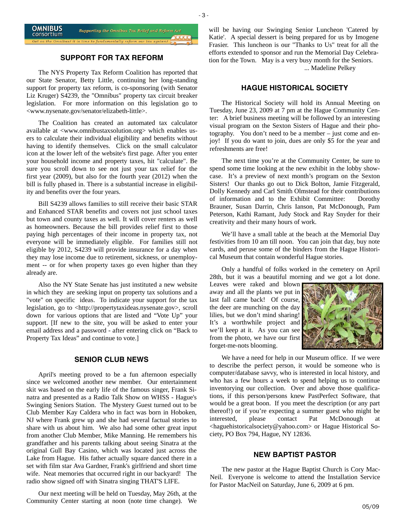

# **SUPPORT FOR TAX REFORM**

The NYS Property Tax Reform Coalition has reported that our State Senator, Betty Little, continuing her long-standing support for property tax reform, is co-sponsoring (with Senator Liz Kruger) S4239, the "Omnibus" property tax circuit breaker legislation. For more information on this legislation go to <www.nysenate.gov/senator/elizabeth-little>.

The Coalition has created an automated tax calculator available at <www.omnibustaxsolution.org> which enables users to calculate their individual eligibility and benefits without having to identify themselves. Click on the small calculator icon at the lower left of the website's first page. After you enter your household income and property taxes, hit "calculate". Be sure you scroll down to see not just your tax relief for the first year (2009), but also for the fourth year (2012) when the bill is fully phased in. There is a substantial increase in eligibility and benefits over the four years.

Bill S4239 allows families to still receive their basic STAR and Enhanced STAR benefits and covers not just school taxes but town and county taxes as well. It will cover renters as well as homeowners. Because the bill provides relief first to those paying high percentages of their income in property tax, not everyone will be immediately eligible. For families still not eligible by 2012, S4239 will provide insurance for a day when they may lose income due to retirement, sickness, or unemployment -- or for when property taxes go even higher than they already are.

Also the NY State Senate has just instituted a new website in which they are seeking input on property tax solutions and a "vote" on specific ideas. To indicate your support for the tax legislation, go to <http://propertytaxideas.nysenate.gov>, scroll down for various options that are listed and "Vote Up" your support. [If new to the site, you will be asked to enter your email address and a password - after entering click on "Back to Property Tax Ideas" and continue to vote.]

#### **SENIOR CLUB NEWS**

April's meeting proved to be a fun afternoon especially since we welcomed another new member. Our entertainment skit was based on the early life of the famous singer, Frank Sinatra and presented as a Radio Talk Show on WHSS - Hague's Swinging Seniors Station. The Mystery Guest turned out to be Club Member Kay Caldera who in fact was born in Hoboken, NJ where Frank grew up and she had several factual stories to share with us about him. We also had some other great input from another Club Member, Mike Manning. He remembers his grandfather and his parents talking about seeing Sinatra at the original Gull Bay Casino, which was located just across the Lake from Hague. His father actually square danced there in a set with film star Ava Gardner, Frank's girlfriend and short time wife. Neat memories that occurred right in our backyard! The radio show signed off with Sinatra singing THAT'S LIFE.

Our next meeting will be held on Tuesday, May 26th, at the Community Center starting at noon (note time change). We will be having our Swinging Senior Luncheon 'Catered by Katie'. A special dessert is being prepared for us by Imogene Frasier. This luncheon is our "Thanks to Us" treat for all the efforts extended to sponsor and run the Memorial Day Celebration for the Town. May is a very busy month for the Seniors.

... Madeline Pelkey

# **HAGUE HISTORICAL SOCIETY**

The Historical Society will hold its Annual Meeting on Tuesday, June 23, 2009 at 7 pm at the Hague Community Center: A brief business meeting will be followed by an interesting visual program on the Sexton Sisters of Hague and their photography. You don't need to be a member – just come and enjoy! If you do want to join, dues are only \$5 for the year and refreshments are free!

The next time you're at the Community Center, be sure to spend some time looking at the new exhibit in the lobby showcase. It's a preview of next month's program on the Sexton Sisters! Our thanks go out to Dick Bolton, Jamie Fitzgerald, Dolly Kennedy and Carl Smith Olmstead for their contributions of information and to the Exhibit Committee: Dorothy Brauner, Susan Darrin, Chris Ianson, Pat McDonough, Pam Peterson, Kathi Ramant, Judy Stock and Ray Snyder for their creativity and their many hours of work.

We'll have a small table at the beach at the Memorial Day festivities from 10 am till noon. You can join that day, buy note cards, and peruse some of the binders from the Hague Historical Museum that contain wonderful Hague stories.

Only a handful of folks worked in the cemetery on April 28th, but it was a beautiful morning and we got a lot done.

Leaves were raked and blown away and all the plants we put in last fall came back! Of course, the deer are munching on the day lilies, but we don't mind sharing! It's a worthwhile project and we'll keep at it. As you can see from the photo, we have our first forget-me-nots blooming.



We have a need for help in our Museum office. If we were to describe the perfect person, it would be someone who is computer/database savvy, who is interested in local history, and who has a few hours a week to spend helping us to continue inventorying our collection. Over and above those qualifications, if this person/persons knew PastPerfect Software, that would be a great boon. If you meet the description (or any part thereof!) or if you're expecting a summer guest who might be interested, please contact Pat McDonough at <haguehistoricalsociety@yahoo.com> or Hague Historical Society, PO Box 794, Hague, NY 12836.

#### **NEW BAPTIST PASTOR**

The new pastor at the Hague Baptist Church is Cory Mac-Neil. Everyone is welcome to attend the Installation Service for Pastor MacNeil on Saturday, June 6, 2009 at 6 pm.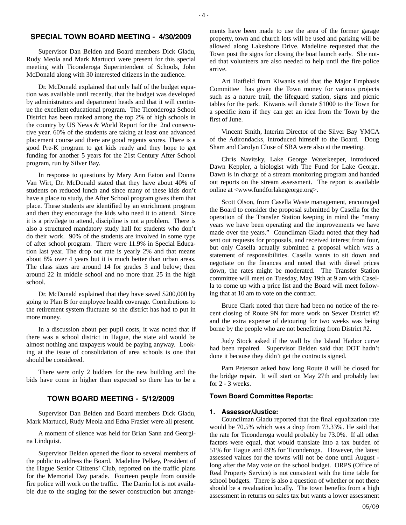# **SPECIAL TOWN BOARD MEETING - 4/30/2009**

Supervisor Dan Belden and Board members Dick Gladu, Rudy Meola and Mark Martucci were present for this special meeting with Ticonderoga Superintendent of Schools, John McDonald along with 30 interested citizens in the audience.

Dr. McDonald explained that only half of the budget equation was available until recently, that the budget was developed by administrators and department heads and that it will continue the excellent educational program. The Ticonderoga School District has been ranked among the top 2% of high schools in the country by US News & World Report for the 2nd consecutive year. 60% of the students are taking at least one advanced placement course and there are good regents scores. There is a good Pre-K program to get kids ready and they hope to get funding for another 5 years for the 21st Century After School program, run by Silver Bay.

In response to questions by Mary Ann Eaton and Donna Van Wirt, Dr. McDonald stated that they have about 40% of students on reduced lunch and since many of these kids don't have a place to study, the After School program gives them that place. These students are identified by an enrichment program and then they encourage the kids who need it to attend. Since it is a privilege to attend, discipline is not a problem. There is also a structured mandatory study hall for students who don't do their work. 90% of the students are involved in some type of after school program. There were 11.9% in Special Education last year. The drop out rate is yearly 2% and that means about 8% over 4 years but it is much better than urban areas. The class sizes are around 14 for grades 3 and below; then around 22 in middle school and no more than 25 in the high school.

Dr. McDonald explained that they have saved \$200,000 by going to Plan B for employee health coverage. Contributions to the retirement system fluctuate so the district has had to put in more money.

In a discussion about per pupil costs, it was noted that if there was a school district in Hague, the state aid would be almost nothing and taxpayers would be paying anyway. Looking at the issue of consolidation of area schools is one that should be considered.

There were only 2 bidders for the new building and the bids have come in higher than expected so there has to be a

# **TOWN BOARD MEETING - 5/12/2009**

Supervisor Dan Belden and Board members Dick Gladu, Mark Martucci, Rudy Meola and Edna Frasier were all present.

A moment of silence was held for Brian Sann and Georgina Lindquist.

Supervisor Belden opened the floor to several members of the public to address the Board. Madeline Pelkey, President of the Hague Senior Citizens' Club, reported on the traffic plans for the Memorial Day parade. Fourteen people from outside fire police will work on the traffic. The Darrin lot is not available due to the staging for the sewer construction but arrangements have been made to use the area of the former garage property, town and church lots will be used and parking will be allowed along Lakeshore Drive. Madeline requested that the Town post the signs for closing the boat launch early. She noted that volunteers are also needed to help until the fire police arrive.

Art Hatfield from Kiwanis said that the Major Emphasis Committee has given the Town money for various projects such as a nature trail, the lifeguard station, signs and picnic tables for the park. Kiwanis will donate \$1000 to the Town for a specific item if they can get an idea from the Town by the first of June.

Vincent Smith, Interim Director of the Silver Bay YMCA of the Adirondacks, introduced himself to the Board. Doug Sham and Carolyn Close of SBA were also at the meeting.

Chris Navitsky, Lake George Waterkeeper, introduced Dawn Keppler, a biologist with The Fund for Lake George. Dawn is in charge of a stream monitoring program and handed out reports on the stream assessment. The report is available online at <www.fundforlakegeorge.org>.

Scott Olson, from Casella Waste management, encouraged the Board to consider the proposal submitted by Casella for the operation of the Transfer Station keeping in mind the "many years we have been operating and the improvements we have made over the years." Councilman Gladu noted that they had sent out requests for proposals, and received interest from four, but only Casella actually submitted a proposal which was a statement of responsibilities. Casella wants to sit down and negotiate on the finances and noted that with diesel prices down, the rates might be moderated. The Transfer Station committee will meet on Tuesday, May 19th at 9 am with Casella to come up with a price list and the Board will meet following that at 10 am to vote on the contract.

Bruce Clark noted that there had been no notice of the recent closing of Route 9N for more work on Sewer District #2 and the extra expense of detouring for two weeks was being borne by the people who are not benefitting from District #2.

Judy Stock asked if the wall by the Island Harbor curve had been repaired. Supervisor Belden said that DOT hadn't done it because they didn't get the contracts signed.

Pam Peterson asked how long Route 8 will be closed for the bridge repair. It will start on May 27th and probably last for 2 - 3 weeks.

#### **Town Board Committee Reports:**

#### **1. Assessor/Justice:**

Councilman Gladu reported that the final equalization rate would be 70.5% which was a drop from 73.33%. He said that the rate for Ticonderoga would probably be 73.0%. If all other factors were equal, that would translate into a tax burden of 51% for Hague and 49% for Ticonderoga. However, the latest assessed values for the towns will not be done until August long after the May vote on the school budget. ORPS (Office of Real Property Service) is not consistent with the time table for school budgets. There is also a question of whether or not there should be a revaluation locally. The town benefits from a high assessment in returns on sales tax but wants a lower assessment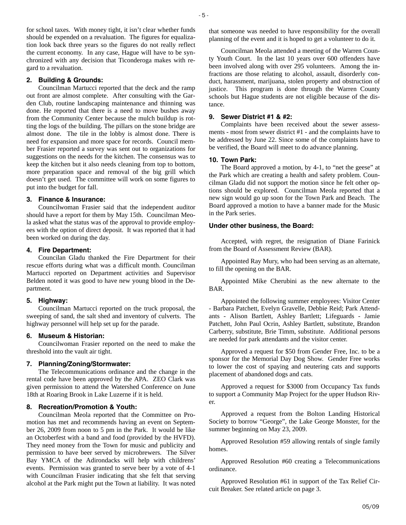for school taxes. With money tight, it isn't clear whether funds should be expended on a revaluation. The figures for equalization look back three years so the figures do not really reflect the current economy. In any case, Hague will have to be synchronized with any decision that Ticonderoga makes with regard to a revaluation.

#### **2. Building & Grounds:**

Councilman Martucci reported that the deck and the ramp out front are almost complete. After consulting with the Garden Club, routine landscaping maintenance and thinning was done. He reported that there is a need to move bushes away from the Community Center because the mulch buildup is rotting the logs of the building. The pillars on the stone bridge are almost done. The tile in the lobby is almost done. There is need for expansion and more space for records. Council member Frasier reported a survey was sent out to organizations for suggestions on the needs for the kitchen. The consensus was to keep the kitchen but it also needs cleaning from top to bottom, more preparation space and removal of the big grill which doesn't get used. The committee will work on some figures to put into the budget for fall.

#### **3. Finance & Insurance:**

Councilwoman Frasier said that the independent auditor should have a report for them by May 15th. Councilman Meola asked what the status was of the approval to provide employees with the option of direct deposit. It was reported that it had been worked on during the day.

#### **4. Fire Department:**

Councilan Gladu thanked the Fire Department for their rescue efforts during what was a difficult month. Councilman Martucci reported on Department activities and Supervisor Belden noted it was good to have new young blood in the Department.

#### **5. Highway:**

Councilman Martucci reported on the truck proposal, the sweeping of sand, the salt shed and inventory of culverts. The highway personnel will help set up for the parade.

#### **6. Museum & Historian:**

Councilwoman Frasier reported on the need to make the threshold into the vault air tight.

#### **7. Planning/Zoning/Stormwater:**

The Telecommunications ordinance and the change in the rental code have been approved by the APA. ZEO Clark was given permission to attend the Watershed Conference on June 18th at Roaring Brook in Lake Luzerne if it is held.

#### **8. Recreation/Promotion & Youth:**

Councilman Meola reported that the Committee on Promotion has met and recommends having an event on September 26, 2009 from noon to 5 pm in the Park. It would be like an Octoberfest with a band and food (provided by the HVFD). They need money from the Town for music and publicity and permission to have beer served by microbrewers. The Silver Bay YMCA of the Adirondacks will help with childrens' events. Permission was granted to serve beer by a vote of 4-1 with Councilman Frasier indicating that she felt that serving alcohol at the Park might put the Town at liability. It was noted

that someone was needed to have responsibility for the overall planning of the event and it is hoped to get a volunteer to do it.

Councilman Meola attended a meeting of the Warren County Youth Court. In the last 10 years over 600 offenders have been involved along with over 295 volunteers. Among the infractions are those relating to alcohol, assault, disorderly conduct, harassment, marijuana, stolen property and obstruction of justice. This program is done through the Warren County schools but Hague students are not eligible because of the distance.

## **9. Sewer District #1 & #2:**

Complaints have been received about the sewer assessments - most from sewer district #1 - and the complaints have to be addressed by June 22. Since some of the complaints have to be verified, the Board will meet to do advance planning.

#### **10. Town Park:**

The Board approved a motion, by 4-1, to "net the geese" at the Park which are creating a health and safety problem. Councilman Gladu did not support the motion since he felt other options should be explored. Councilman Meola reported that a new sign would go up soon for the Town Park and Beach. The Board approved a motion to have a banner made for the Music in the Park series.

#### **Under other business, the Board:**

Accepted, with regret, the resignation of Diane Farinick from the Board of Assessment Review (BAR).

Appointed Ray Mury, who had been serving as an alternate, to fill the opening on the BAR.

Appointed Mike Cherubini as the new alternate to the BAR.

Appointed the following summer employees: Visitor Center - Barbara Patchett, Evelyn Gravelle, Debbie Reid; Park Attendants - Alison Bartlett, Ashley Bartlett; Lifeguards - Jamie Patchett, John Paul Ocrin, Ashley Bartlett, substitute, Brandon Carberry, substitute, Brie Timm, substitute. Additional persons are needed for park attendants and the visitor center.

Approved a request for \$50 from Gender Free, Inc. to be a sponsor for the Memorial Day Dog Show. Gender Free works to lower the cost of spaying and neutering cats and supports placement of abandoned dogs and cats.

Approved a request for \$3000 from Occupancy Tax funds to support a Community Map Project for the upper Hudson River.

Approved a request from the Bolton Landing Historical Society to borrow "George", the Lake George Monster, for the summer beginning on May 23, 2009.

Approved Resolution #59 allowing rentals of single family homes.

Approved Resolution #60 creating a Telecommunications ordinance.

Approved Resolution #61 in support of the Tax Relief Circuit Breaker. See related article on page 3.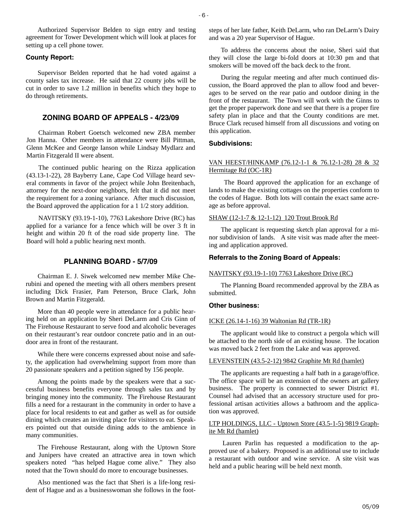Authorized Supervisor Belden to sign entry and testing agreement for Tower Development which will look at places for setting up a cell phone tower.

#### **County Report:**

Supervisor Belden reported that he had voted against a county sales tax increase. He said that 22 county jobs will be cut in order to save 1.2 million in benefits which they hope to do through retirements.

# **ZONING BOARD OF APPEALS - 4/23/09**

Chairman Robert Goetsch welcomed new ZBA member Jon Hanna. Other members in attendance were Bill Pittman, Glenn McKee and George Ianson while Lindsay Mydlarz and Martin Fitzgerald II were absent.

The continued public hearing on the Rizza application (43.13-1-22), 28 Bayberry Lane, Cape Cod Village heard several comments in favor of the project while John Breitenbach, attorney for the next-door neighbors, felt that it did not meet the requirement for a zoning variance. After much discussion, the Board approved the application for a 1 1/2 story addition.

NAVITSKY (93.19-1-10), 7763 Lakeshore Drive (RC) has applied for a variance for a fence which will be over 3 ft in height and within 20 ft of the road side property line. The Board will hold a public hearing next month.

#### **PLANNING BOARD - 5/7/09**

Chairman E. J. Siwek welcomed new member Mike Cherubini and opened the meeting with all others members present including Dick Frasier, Pam Peterson, Bruce Clark, John Brown and Martin Fitzgerald.

More than 40 people were in attendance for a public hearing held on an application by Sheri DeLarm and Cris Ginn of The Firehouse Restaurant to serve food and alcoholic beverages on their restaurant's rear outdoor concrete patio and in an outdoor area in front of the restaurant.

While there were concerns expressed about noise and safety, the application had overwhelming support from more than 20 passionate speakers and a petition signed by 156 people.

Among the points made by the speakers were that a successful business benefits everyone through sales tax and by bringing money into the community. The Firehouse Restaurant fills a need for a restaurant in the community in order to have a place for local residents to eat and gather as well as for outside dining which creates an inviting place for visitors to eat. Speakers pointed out that outside dining adds to the ambience in many communities.

The Firehouse Restaurant, along with the Uptown Store and Junipers have created an attractive area in town which speakers noted "has helped Hague come alive." They also noted that the Town should do more to encourage businesses.

Also mentioned was the fact that Sheri is a life-long resident of Hague and as a businesswoman she follows in the footsteps of her late father, Keith DeLarm, who ran DeLarm's Dairy and was a 20 year Supervisor of Hague.

To address the concerns about the noise, Sheri said that they will close the large bi-fold doors at 10:30 pm and that smokers will be moved off the back deck to the front.

During the regular meeting and after much continued discussion, the Board approved the plan to allow food and beverages to be served on the rear patio and outdoor dining in the front of the restaurant. The Town will work with the Ginns to get the proper paperwork done and see that there is a proper fire safety plan in place and that the County conditions are met. Bruce Clark recused himself from all discussions and voting on this application.

#### **Subdivisions:**

#### VAN HEEST/HINKAMP (76.12-1-1 & 76.12-1-28) 28 & 32 Hermitage Rd (OC-1R)

 The Board approved the application for an exchange of lands to make the existing cottages on the properties conform to the codes of Hague. Both lots will contain the exact same acreage as before approval.

#### SHAW (12-1-7 & 12-1-12) 120 Trout Brook Rd

The applicant is requesting sketch plan approval for a minor subdivision of lands. A site visit was made after the meeting and application approved.

#### **Referrals to the Zoning Board of Appeals:**

#### NAVITSKY (93.19-1-10) 7763 Lakeshore Drive (RC)

The Planning Board recommended approval by the ZBA as submitted.

#### **Other business:**

#### ICKE (26.14-1-16) 39 Waltonian Rd (TR-1R)

The applicant would like to construct a pergola which will be attached to the north side of an existing house. The location was moved back 2 feet from the Lake and was approved.

## LEVENSTEIN (43.5-2-12) 9842 Graphite Mt Rd (hamlet)

The applicants are requesting a half bath in a garage/office. The office space will be an extension of the owners art gallery business. The property is connnected to sewer District #1. Counsel had advised that an accessory structure used for professional artisan activities allows a bathroom and the application was approved.

#### LTP HOLDINGS, LLC - Uptown Store (43.5-1-5) 9819 Graphite Mt Rd (hamlet)

 Lauren Parlin has requested a modification to the approved use of a bakery. Proposed is an additional use to include a restaurant with outdoor and wine service. A site visit was held and a public hearing will be held next month.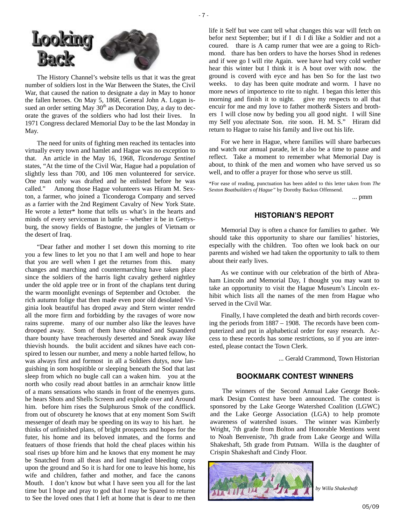



The History Channel's website tells us that it was the great number of soldiers lost in the War Between the States, the Civil War, that caused the nation to designate a day in May to honor the fallen heroes. On May 5, 1868, General John A. Logan issued an order setting May  $30<sup>th</sup>$  as Decoration Day, a day to decorate the graves of the soldiers who had lost their lives. In 1971 Congress declared Memorial Day to be the last Monday in May.

The need for units of fighting men reached its tentacles into virtually every town and hamlet and Hague was no exception to that. An article in the May 16, 1968, *Ticonderoga Sentinel*  states, "At the time of the Civil War, Hague had a population of slightly less than 700, and 106 men volunteered for service. One man only was drafted and he enlisted before he was called." Among those Hague volunteers was Hiram M. Sexton, a farmer, who joined a Ticonderoga Company and served as a farrier with the 2nd Regiment Cavalry of New York State. He wrote a letter\* home that tells us what's in the hearts and minds of every serviceman in battle – whether it be in Gettysburg, the snowy fields of Bastogne, the jungles of Vietnam or the desert of Iraq.

"Dear father and mother I set down this morning to rite you a few lines to let you no that I am well and hope to hear that you are well when I get the returnes from this. many changes and marching and countermarching have taken place since the soldiers of the harris light cavalry getherd nightley under the old apple tree or in front of the chaplans tent during the warm moonlight evenings of September and October. the rich autumn folige that then made even poor old desolated Virginia look beautiful has droped away and Stern winter rendrd all the more firm and forbidding by the ravages of wore now rains supreme. many of our number also like the leaves have drooped away. Som of them have obtained and Squanderd thare bounty have treacherously deserted and Sneak away like thievish hounds. the bulit accident and siknes have each conspired to lessen our number, and meny a noble harted fellow, ho was always first and formost in all a Soldiers dutys, now languishing in som hospitible or sleeping beneath the Sod that last sleep from which no bugle call can a waken him. you at the north who cosily read about battles in an armchair know little of a mans sensations who stands in front of the enemyes guns. he hears Shots and Shells Screem and explode over and Around him. before him rises the Sulphurous Smok of the condflick. from out of obscurety he knows that at eny moment Som Swift messenger of death may be speeding on its way to his hart. he thinks of unfinished plans, of bright prospects and hopes for the futer, his home and its beloved inmates, and the forms and featuers of those friends that hold the cheaf places within his soal rises up bfore him and he knows that eny moment he may be Snatched from all theas and lied mangled bleeding corps upon the ground and So it is hard for one to leave his home, his wife and children, father and mother, and face the canons Mouth. I don't know but what I have seen you all for the last time but I hope and pray to god that I may be Spared to returne to See the loved ones that I left at home that is dear to me then

life it Self but wee cant tell what changes this war will fetch on befor next September; but if I di I di like a Soldier and not a coured. thare is A camp rumer that wee are a going to Richmond. thare has ben orders to have the horses Shod in redenes and if wee go I will rite Again. wee have had very cold wether hear this winter but I think it is A bout over with now. the ground is coverd with eyce and has ben So for the last two weeks. to day has been quite modrate and worm. I have no more news of importence to rite to night. I began this letter this morning and finish it to night. give my respects to all that encuir for me and my love to father mother& Sisters and brothers I will close now by beding you all good night. I will Sine my Self you afectnate Son. rite soon. H. M. S." Hiram did return to Hague to raise his family and live out his life.

For we here in Hague, where families will share barbecues and watch our annual parade, let it also be a time to pause and reflect. Take a moment to remember what Memorial Day is about, to think of the men and women who have served us so well, and to offer a prayer for those who serve us still.

\*For ease of reading, punctuation has been added to this letter taken from *The Sexton Boatbuilders of Hague"* by Dorothy Backus Offensend.

... pmm

# **HISTORIAN'S REPORT**

Memorial Day is often a chance for families to gather. We should take this opportunity to share our families' histories, especially with the children. Too often we look back on our parents and wished we had taken the opportunity to talk to them about their early lives.

As we continue with our celebration of the birth of Abraham Lincoln and Memorial Day, I thought you may want to take an opportunity to visit the Hague Museum's Lincoln exhibit which lists all the names of the men from Hague who served in the Civil War.

Finally, I have completed the death and birth records covering the periods from 1887 – 1908. The records have been computerized and put in alphabetical order for easy research. Access to these records has some restrictions, so if you are interested, please contact the Town Clerk.

... Gerald Crammond, Town Historian

# **BOOKMARK CONTEST WINNERS**

The winners of the Second Annual Lake George Bookmark Design Contest have been announced. The contest is sponsored by the Lake George Watershed Coalition (LGWC) and the Lake George Association (LGA) to help promote awareness of watershed issues. The winner was Kimberly Wright, 7th grade from Bolton and Honorable Mentions went to Noah Benveniste, 7th grade from Lake George and Willa Shakeshaft, 5th grade from Putnam. Willa is the daughter of Crispin Shakeshaft and Cindy Floor.



*by Willa Shakeshaft*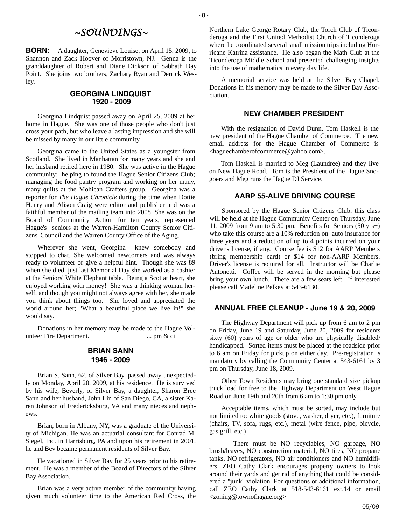# *~SOUNDINGS~*

**BORN:** A daughter, Genevieve Louise, on April 15, 2009, to Shannon and Zack Hoover of Morristown, NJ. Genna is the granddaughter of Robert and Diane Dickson of Sabbath Day Point. She joins two brothers, Zachary Ryan and Derrick Wesley.

#### **GEORGINA LINDQUIST 1920 - 2009**

Georgina Lindquist passed away on April 25, 2009 at her home in Hague. She was one of those people who don't just cross your path, but who leave a lasting impression and she will be missed by many in our little community.

Georgina came to the United States as a youngster from Scotland. She lived in Manhattan for many years and she and her husband retired here in 1980. She was active in the Hague community: helping to found the Hague Senior Citizens Club; managing the food pantry program and working on her many, many quilts at the Mohican Crafters group. Georgina was a reporter for *The Hague Chronicle* during the time when Dottie Henry and Alison Craig were editor and publisher and was a faithful member of the mailing team into 2008. She was on the Board of Community Action for ten years, represented Hague's seniors at the Warren-Hamilton County Senior Citizens' Council and the Warren County Office of the Aging.

Wherever she went, Georgina knew somebody and stopped to chat. She welcomed newcomers and was always ready to volunteer or give a helpful hint. Though she was 89 when she died, just last Memorial Day she worked as a cashier at the Seniors' White Elephant table. Being a Scot at heart, she enjoyed working with money! She was a thinking woman herself, and though you might not always agree with her, she made you think about things too. She loved and appreciated the world around her; "What a beautiful place we live in!" she would say.

Donations in her memory may be made to the Hague Volunteer Fire Department. ... pm & ci

# **BRIAN SANN 1946 - 2009**

Brian S. Sann, 62, of Silver Bay, passed away unexpectedly on Monday, April 20, 2009, at his residence. He is survived by his wife, Beverly, of Silver Bay, a daughter, Sharon Bree Sann and her husband, John Lin of San Diego, CA, a sister Karen Johnson of Fredericksburg, VA and many nieces and nephews.

Brian, born in Albany, NY, was a graduate of the University of Michigan. He was an actuarial consultant for Conrad M. Siegel, Inc. in Harrisburg, PA and upon his retirement in 2001, he and Bev became permanent residents of Silver Bay.

He vacationed in Silver Bay for 25 years prior to his retirement. He was a member of the Board of Directors of the Silver Bay Association.

Brian was a very active member of the community having given much volunteer time to the American Red Cross, the Northern Lake George Rotary Club, the Torch Club of Ticonderoga and the First United Methodist Church of Ticonderoga where he coordinated several small mission trips including Hurricane Katrina assistance. He also began the Math Club at the Ticonderoga Middle School and presented challenging insights into the use of mathematics in every day life.

A memorial service was held at the Silver Bay Chapel. Donations in his memory may be made to the Silver Bay Association.

#### **NEW CHAMBER PRESIDENT**

With the resignation of David Dunn, Tom Haskell is the new president of the Hague Chamber of Commerce. The new email address for the Hague Chamber of Commerce is <haguechamberofcommerce@yahoo.com>.

Tom Haskell is married to Meg (Laundree) and they live on New Hague Road. Tom is the President of the Hague Snogoers and Meg runs the Hague DJ Service.

#### **AARP 55-ALIVE DRIVING COURSE**

Sponsored by the Hague Senior Citizens Club, this class will be held at the Hague Community Center on Thursday, June 11, 2009 from 9 am to 5:30 pm. Benefits for Seniors (50 yrs+) who take this course are a 10% reduction on auto insurance for three years and a reduction of up to 4 points incurred on your driver's license, if any. Course fee is \$12 for AARP Members (bring membership card) or \$14 for non-AARP Members. Driver's license is required for all. Instructor will be Charlie Antonetti. Coffee will be served in the morning but please bring your own lunch. There are a few seats left. If interested please call Madeline Pelkey at 543-6130.

#### **ANNUAL FREE CLEANUP - June 19 & 20, 2009**

The Highway Department will pick up from 6 am to 2 pm on Friday, June 19 and Saturday, June 20, 2009 for residents sixty (60) years of age or older who are physically disabled/ handicapped. Sorted items must be placed at the roadside prior to 6 am on Friday for pickup on either day. Pre-registration is mandatory by calling the Community Center at 543-6161 by 3 pm on Thursday, June 18, 2009.

Other Town Residents may bring one standard size pickup truck load for free to the Highway Department on West Hague Road on June 19th and 20th from 6 am to 1:30 pm only.

Acceptable items, which must be sorted, may include but not limited to: white goods (stove, washer, dryer, etc.), furniture (chairs, TV, sofa, rugs, etc.), metal (wire fence, pipe, bicycle, gas grill, etc.)

 There must be NO recyclables, NO garbage, NO brush/leaves, NO construction material, NO tires, NO propane tanks, NO refrigerators, NO air conditioners and NO humidifiers. ZEO Cathy Clark encourages property owners to look around their yards and get rid of anything that could be considered a "junk" violation. For questions or additional information, call ZEO Cathy Clark at 518-543-6161 ext.14 or email <zoning@townofhague.org>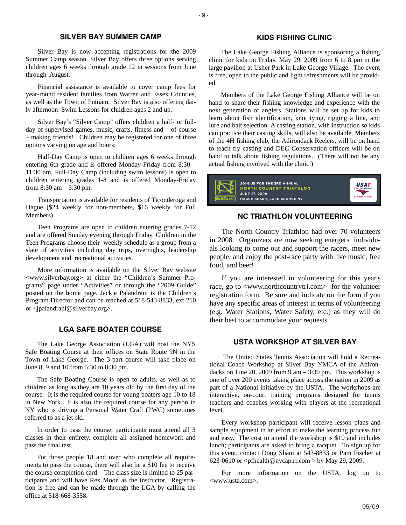# **SILVER BAY SUMMER CAMP**

Silver Bay is now accepting registrations for the 2009 Summer Camp season. Silver Bay offers three options serving children ages 6 weeks through grade 12 in sessions from June through August.

Financial assistance is available to cover camp fees for year-round resident families from Warren and Essex Counties, as well as the Town of Putnam. Silver Bay is also offering daily afternoon Swim Lessons for children ages 2 and up.

Silver Bay's "Silver Camp" offers children a half- or fullday of supervised games, music, crafts, fitness and – of course – making friends! Children may be registered for one of three options varying on age and hours:

Half-Day Camp is open to children ages 6 weeks through entering 6th grade and is offered Monday-Friday from 8:30 – 11:30 am. Full-Day Camp (including swim lessons) is open to children entering grades 1-8 and is offered Monday-Friday from 8:30 am – 3:30 pm.

Transportation is available for residents of Ticonderoga and Hague (\$24 weekly for non-members, \$16 weekly for Full Members).

Teen Programs are open to children entering grades 7-12 and are offered Sunday evening through Friday. Children in the Teen Programs choose their weekly schedule as a group from a slate of activities including day trips, overnights, leadership development and recreational activities.

More information is available on the Silver Bay website <www.silverbay.org> at either the "Children's Summer Programs" page under "Activities" or through the "2009 Guide" posted on the home page. Jackie Palandrani is the Children's Program Director and can be reached at 518-543-8833, ext 210 or <jpalandrani@silverbay.org>.

# **LGA SAFE BOATER COURSE**

The Lake George Association (LGA) will host the NYS Safe Boating Course at their offices on State Route 9N in the Town of Lake George. The 3-part course will take place on June 8, 9 and 10 from 5:30 to 8:30 pm.

The Safe Boating Course is open to adults, as well as to children as long as they are 10 years old by the first day of the course. It is the required course for young boaters age 10 to 18 in New York. It is also the required course for any person in NY who is driving a Personal Water Craft (PWC) sometimes referred to as a jet-ski.

In order to pass the course, participants must attend all 3 classes in their entirety, complete all assigned homework and pass the final test.

For those people 18 and over who complete all requirements to pass the course, there will also be a \$10 fee to receive the course completion card. The class size is limited to 25 participants and will have Rex Moon as the instructor. Registration is free and can be made through the LGA by calling the office at 518-668-3558.

# **KIDS FISHING CLINIC**

The Lake George Fishing Alliance is sponsoring a fishing clinic for kids on Friday, May 29, 2009 from 6 to 8 pm in the large pavilion at Usher Park in Lake George Village. The event is free, open to the public and light refreshments will be provided.

Members of the Lake George Fishing Alliance will be on hand to share their fishing knowledge and experience with the next generation of anglers. Stations will be set up for kids to learn about fish identification, knot tying, rigging a line, and lure and bait selection. A casting station, with instruction so kids can practice their casting skills, will also be available. Members of the 4H fishing club, the Adirondack Reelers, will be on hand to teach fly casting and DEC Conservation officers will be on hand to talk about fishing regulations. (There will not be any actual fishing involved with the clinic.)



# **NC TRIATHLON VOLUNTEERING**

The North Country Triathlon had over 70 volunteers in 2008. Organizers are now seeking energetic individuals looking to come out and support the racers, meet new people, and enjoy the post-race party with live music, free food, and beer!

If you are interested in volunteering for this year's race, go to <www.northcountrytri.com> for the volunteer registration form. Be sure and indicate on the form if you have any specific areas of interest in terms of volunteering (e.g. Water Stations, Water Safety, etc.) as they will do their best to accommodate your requests.

#### **USTA WORKSHOP AT SILVER BAY**

 The United States Tennis Association will hold a Recreational Coach Workshop at Silver Bay YMCA of the Adirondacks on June 20, 2009 from 9 am  $-$  3:30 pm. This workshop is one of over 200 events taking place across the nation in 2009 as part of a National initiative by the USTA. The workshops are interactive, on-court training programs designed for tennis teachers and coaches working with players at the recreational level.

Every workshop participant will receive lesson plans and sample equipment in an effort to make the learning process fun and easy. The cost to attend the workshop is \$10 and includes lunch; participants are asked to bring a racquet. To sign up for this event, contact Doug Sham at 543-8833 or Pam Fischer at 623-0610 or  $\langle$ pfhealth@nycap.rr.com > by May 29, 2009.

For more information on the USTA, log on to <www.usta.com>.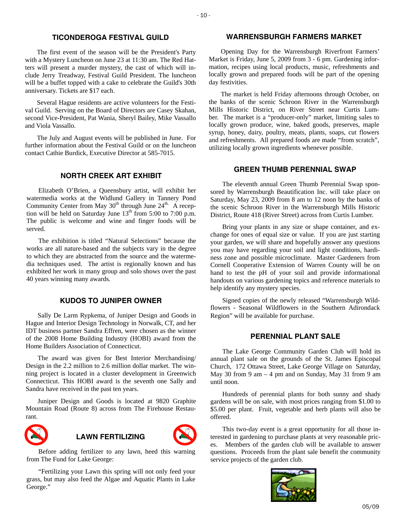# **TICONDEROGA FESTIVAL GUILD**

The first event of the season will be the President's Party with a Mystery Luncheon on June 23 at 11:30 am. The Red Hatters will present a murder mystery, the cast of which will include Jerry Treadway, Festival Guild President. The luncheon will be a buffet topped with a cake to celebrate the Guild's 30th anniversary. Tickets are \$17 each.

Several Hague residents are active volunteers for the Festival Guild. Serving on the Board of Directors are Casey Skahan, second Vice-President, Pat Wania, Sheryl Bailey, Mike Vassallo and Viola Vassallo.

The July and August events will be published in June. For further information about the Festival Guild or on the luncheon contact Cathie Burdick, Executive Director at 585-7015.

# **NORTH CREEK ART EXHIBIT**

Elizabeth O'Brien, a Queensbury artist, will exhibit her watermedia works at the Widlund Gallery in Tannery Pond Community Center from May  $30<sup>th</sup>$  through June  $24<sup>th</sup>$ . A reception will be held on Saturday June  $13<sup>th</sup>$  from 5:00 to 7:00 p.m. The public is welcome and wine and finger foods will be served.

The exhibition is titled "Natural Selections" because the works are all nature-based and the subjects vary in the degree to which they are abstracted from the source and the watermedia techniques used. The artist is regionally known and has exhibited her work in many group and solo shows over the past 40 years winning many awards.

#### **KUDOS TO JUNIPER OWNER**

Sally De Larm Rypkema, of Juniper Design and Goods in Hague and Interior Design Technology in Norwalk, CT, and her IDT business partner Sandra Effren, were chosen as the winner of the 2008 Home Building Industry (HOBI) award from the Home Builders Association of Connecticut.

The award was given for Best Interior Merchandising/ Design in the 2.2 million to 2.6 million dollar market. The winning project is located in a cluster development in Greenwich Connecticut. This HOBI award is the seventh one Sally and Sandra have received in the past ten years.

Juniper Design and Goods is located at 9820 Graphite Mountain Road (Route 8) across from The Firehouse Restaurant.



# **LAWN FERTILIZING**



"Fertilizing your Lawn this spring will not only feed your grass, but may also feed the Algae and Aquatic Plants in Lake George."

# **WARRENSBURGH FARMERS MARKET**

Opening Day for the Warrensburgh Riverfront Farmers' Market is Friday, June 5, 2009 from 3 - 6 pm. Gardening information, recipes using local products, music, refreshments and locally grown and prepared foods will be part of the opening day festivities.

The market is held Friday afternoons through October, on the banks of the scenic Schroon River in the Warrensburgh Mills Historic District, on River Street near Curtis Lumber. The market is a "producer-only" market, limiting sales to locally grown produce, wine, baked goods, preserves, maple syrup, honey, dairy, poultry, meats, plants, soaps, cut flowers and refreshments. All prepared foods are made "from scratch", utilizing locally grown ingredients whenever possible.

# **GREEN THUMB PERENNIAL SWAP**

The eleventh annual Green Thumb Perennial Swap sponsored by Warrensburgh Beautification Inc. will take place on Saturday, May 23, 2009 from 8 am to 12 noon by the banks of the scenic Schroon River in the Warrensburgh Mills Historic District, Route 418 (River Street) across from Curtis Lumber.

Bring your plants in any size or shape container, and exchange for ones of equal size or value. If you are just starting your garden, we will share and hopefully answer any questions you may have regarding your soil and light conditions, hardiness zone and possible microclimate. Master Gardeners from Cornell Cooperative Extension of Warren County will be on hand to test the pH of your soil and provide informational handouts on various gardening topics and reference materials to help identify any mystery species.

Signed copies of the newly released "Warrensburgh Wildflowers - Seasonal Wildflowers in the Southern Adirondack Region" will be available for purchase.

# **PERENNIAL PLANT SALE**

The Lake George Community Garden Club will hold its annual plant sale on the grounds of the St. James Episcopal Church, 172 Ottawa Street, Lake George Village on Saturday, May 30 from 9 am – 4 pm and on Sunday, May 31 from 9 am until noon.

Hundreds of perennial plants for both sunny and shady gardens will be on sale, with most prices ranging from \$1.00 to \$5.00 per plant. Fruit, vegetable and herb plants will also be offered.

This two-day event is a great opportunity for all those interested in gardening to purchase plants at very reasonable prices. Members of the garden club will be available to answer questions. Proceeds from the plant sale benefit the community service projects of the garden club.

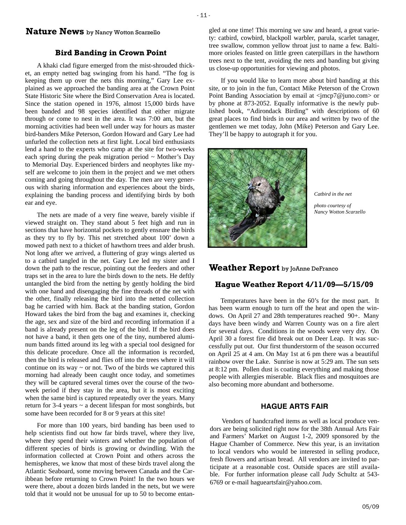# **Nature News** by Nancy Wotton Scarzello

#### **Bird Banding in Crown Point**

A khaki clad figure emerged from the mist-shrouded thicket, an empty netted bag swinging from his hand. "The fog is keeping them up over the nets this morning," Gary Lee explained as we approached the banding area at the Crown Point State Historic Site where the Bird Conservation Area is located. Since the station opened in 1976, almost 15,000 birds have been banded and 98 species identified that either migrate through or come to nest in the area. It was 7:00 am, but the morning activities had been well under way for hours as master bird-banders Mike Peterson, Gordon Howard and Gary Lee had unfurled the collection nets at first light. Local bird enthusiasts lend a hand to the experts who camp at the site for two-weeks each spring during the peak migration period  $\sim$  Mother's Day to Memorial Day. Experienced birders and neophytes like myself are welcome to join them in the project and we met others coming and going throughout the day. The men are very generous with sharing information and experiences about the birds, explaining the banding process and identifying birds by both ear and eye.

The nets are made of a very fine weave, barely visible if viewed straight on. They stand about 5 feet high and run in sections that have horizontal pockets to gently ensnare the birds as they try to fly by. This net stretched about 100' down a mowed path next to a thicket of hawthorn trees and alder brush. Not long after we arrived, a fluttering of gray wings alerted us to a catbird tangled in the net. Gary Lee led my sister and I down the path to the rescue, pointing out the feeders and other traps set in the area to lure the birds down to the nets. He deftly untangled the bird from the netting by gently holding the bird with one hand and disengaging the fine threads of the net with the other, finally releasing the bird into the netted collection bag he carried with him. Back at the banding station, Gordon Howard takes the bird from the bag and examines it, checking the age, sex and size of the bird and recording information if a band is already present on the leg of the bird. If the bird does not have a band, it then gets one of the tiny, numbered aluminum bands fitted around its leg with a special tool designed for this delicate procedure. Once all the information is recorded, then the bird is released and flies off into the trees where it will continue on its way  $\sim$  or not. Two of the birds we captured this morning had already been caught once today, and sometimes they will be captured several times over the course of the twoweek period if they stay in the area, but it is most exciting when the same bird is captured repeatedly over the years. Many return for 3-4 years ~ a decent lifespan for most songbirds, but some have been recorded for 8 or 9 years at this site!

For more than 100 years, bird banding has been used to help scientists find out how far birds travel, where they live, where they spend their winters and whether the population of different species of birds is growing or dwindling. With the information collected at Crown Point and others across the hemispheres, we know that most of these birds travel along the Atlantic Seaboard, some moving between Canada and the Caribbean before returning to Crown Point! In the two hours we were there, about a dozen birds landed in the nets, but we were told that it would not be unusual for up to 50 to become entangled at one time! This morning we saw and heard, a great variety: catbird, cowbird, blackpoll warbler, parula, scarlet tanager, tree swallow, common yellow throat just to name a few. Baltimore orioles feasted on little green caterpillars in the hawthorn trees next to the tent, avoiding the nets and banding but giving us close-up opportunities for viewing and photos.

If you would like to learn more about bird banding at this site, or to join in the fun, Contact Mike Peterson of the Crown Point Banding Association by email at <jmcp7@juno.com> or by phone at 873-2052. Equally informative is the newly published book, "Adirondack Birding" with descriptions of 60 great places to find birds in our area and written by two of the gentlemen we met today, John (Mike) Peterson and Gary Lee. They'll be happy to autograph it for you.



*Catbird in the net* 

*photo courtesy of Nancy Wotton Scarzello* 

# **Weather Report** by JoAnne DeFranco

# **Hague Weather Report 4/11/09—5/15/09**

Temperatures have been in the 60's for the most part. It has been warm enough to turn off the heat and open the windows. On April 27 and 28th temperatures reached 90+. Many days have been windy and Warren County was on a fire alert for several days. Conditions in the woods were very dry. On April 30 a forest fire did break out on Deer Leap. It was successfully put out. Our first thunderstorm of the season occurred on April 25 at 4 am. On May 1st at 6 pm there was a beautiful rainbow over the Lake. Sunrise is now at 5:29 am. The sun sets at 8:12 pm. Pollen dust is coating everything and making those people with allergies miserable. Black flies and mosquitoes are also becoming more abundant and bothersome.

#### **HAGUE ARTS FAIR**

Vendors of handcrafted items as well as local produce vendors are being solicited right now for the 38th Annual Arts Fair and Farmers' Market on August 1-2, 2009 sponsored by the Hague Chamber of Commerce. New this year, is an invitation to local vendors who would be interested in selling produce, fresh flowers and artisan bread. All vendors are invited to participate at a reasonable cost. Outside spaces are still available. For further information please call Judy Schultz at 543- 6769 or e-mail hagueartsfair@yahoo.com.